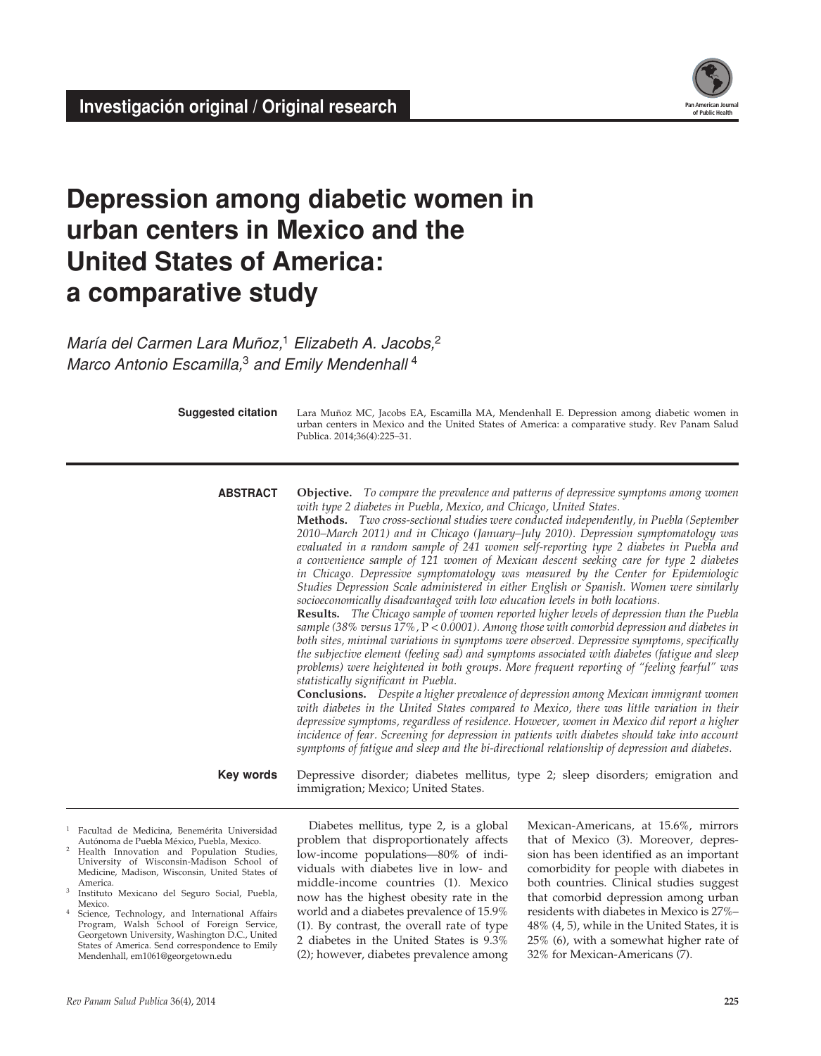

# **Depression among diabetic women in urban centers in Mexico and the United States of America: a comparative study**

*María del Carmen Lara Muñoz,*1 *Elizabeth A. Jacobs,*<sup>2</sup> *Marco Antonio Escamilla,*3 *and Emily Mendenhall* <sup>4</sup>

**Suggested citation**

Lara Muñoz MC, Jacobs EA, Escamilla MA, Mendenhall E. Depression among diabetic women in urban centers in Mexico and the United States of America: a comparative study. Rev Panam Salud Publica. 2014;36(4):225–31.

**Objective.** *To compare the prevalence and patterns of depressive symptoms among women with type 2 diabetes in Puebla, Mexico, and Chicago, United States.* **abstract**

> **Methods.** *Two cross-sectional studies were conducted independently, in Puebla (September 2010–March 2011) and in Chicago (January–July 2010). Depression symptomatology was evaluated in a random sample of 241 women self-reporting type 2 diabetes in Puebla and a convenience sample of 121 women of Mexican descent seeking care for type 2 diabetes in Chicago. Depressive symptomatology was measured by the Center for Epidemiologic Studies Depression Scale administered in either English or Spanish. Women were similarly socioeconomically disadvantaged with low education levels in both locations.*

> **Results.** *The Chicago sample of women reported higher levels of depression than the Puebla sample (38% versus 17%,* P *< 0.0001). Among those with comorbid depression and diabetes in both sites, minimal variations in symptoms were observed. Depressive symptoms, specifically the subjective element (feeling sad) and symptoms associated with diabetes (fatigue and sleep problems) were heightened in both groups. More frequent reporting of "feeling fearful" was statistically significant in Puebla.*

> **Conclusions.** *Despite a higher prevalence of depression among Mexican immigrant women with diabetes in the United States compared to Mexico, there was little variation in their depressive symptoms, regardless of residence. However, women in Mexico did report a higher incidence of fear. Screening for depression in patients with diabetes should take into account symptoms of fatigue and sleep and the bi-directional relationship of depression and diabetes.*

Depressive disorder; diabetes mellitus, type 2; sleep disorders; emigration and immigration; Mexico; United States. **Key words**

- 1 Facultad de Medicina, Benemérita Universidad Autónoma de Puebla México, Puebla, Mexico.
- Health Innovation and Population Studies, University of Wisconsin-Madison School of Medicine, Madison, Wisconsin, United States of America.
- Instituto Mexicano del Seguro Social, Puebla, Mexico.
- Science, Technology, and International Affairs Program, Walsh School of Foreign Service, Georgetown University, Washington D.C., United States of America. Send correspondence to Emily Mendenhall, em1061@georgetown.edu

Diabetes mellitus, type 2, is a global problem that disproportionately affects low-income populations—80% of individuals with diabetes live in low- and middle-income countries (1). Mexico now has the highest obesity rate in the world and a diabetes prevalence of 15.9% (1). By contrast, the overall rate of type 2 diabetes in the United States is 9.3% (2); however, diabetes prevalence among

Mexican-Americans, at 15.6%, mirrors that of Mexico (3). Moreover, depression has been identified as an important comorbidity for people with diabetes in both countries. Clinical studies suggest that comorbid depression among urban residents with diabetes in Mexico is 27%– 48% (4, 5), while in the United States, it is 25% (6), with a somewhat higher rate of 32% for Mexican-Americans (7).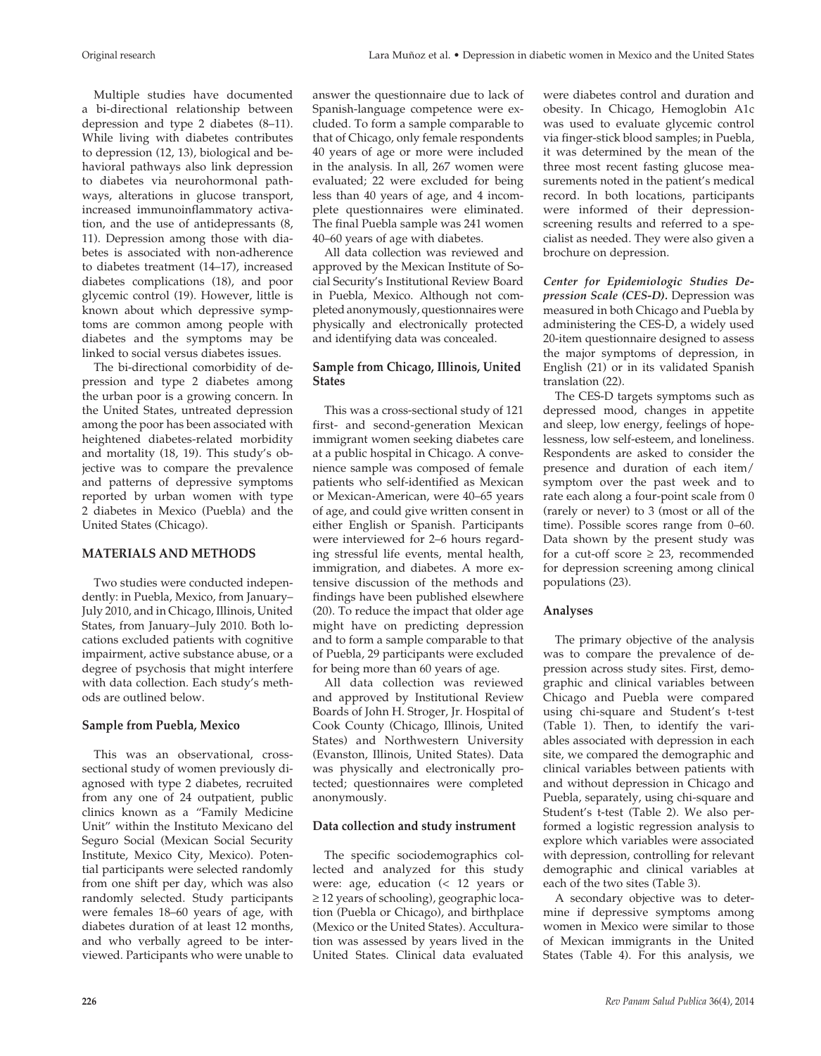Multiple studies have documented a bi-directional relationship between depression and type 2 diabetes (8–11). While living with diabetes contributes to depression (12, 13), biological and behavioral pathways also link depression to diabetes via neurohormonal pathways, alterations in glucose transport, increased immunoinflammatory activation, and the use of antidepressants (8, 11). Depression among those with diabetes is associated with non-adherence to diabetes treatment (14–17), increased diabetes complications (18), and poor glycemic control (19). However, little is known about which depressive symptoms are common among people with diabetes and the symptoms may be linked to social versus diabetes issues.

The bi-directional comorbidity of depression and type 2 diabetes among the urban poor is a growing concern. In the United States, untreated depression among the poor has been associated with heightened diabetes-related morbidity and mortality (18, 19). This study's objective was to compare the prevalence and patterns of depressive symptoms reported by urban women with type 2 diabetes in Mexico (Puebla) and the United States (Chicago).

### **MATERIALS AND METHODS**

Two studies were conducted independently: in Puebla, Mexico, from January– July 2010, and in Chicago, Illinois, United States, from January–July 2010. Both locations excluded patients with cognitive impairment, active substance abuse, or a degree of psychosis that might interfere with data collection. Each study's methods are outlined below.

### **Sample from Puebla, Mexico**

This was an observational, crosssectional study of women previously diagnosed with type 2 diabetes, recruited from any one of 24 outpatient, public clinics known as a "Family Medicine Unit" within the Instituto Mexicano del Seguro Social (Mexican Social Security Institute, Mexico City, Mexico). Potential participants were selected randomly from one shift per day, which was also randomly selected. Study participants were females 18–60 years of age, with diabetes duration of at least 12 months, and who verbally agreed to be interviewed. Participants who were unable to

answer the questionnaire due to lack of Spanish-language competence were excluded. To form a sample comparable to that of Chicago, only female respondents 40 years of age or more were included in the analysis. In all, 267 women were evaluated; 22 were excluded for being less than 40 years of age, and 4 incomplete questionnaires were eliminated. The final Puebla sample was 241 women 40–60 years of age with diabetes.

All data collection was reviewed and approved by the Mexican Institute of Social Security's Institutional Review Board in Puebla, Mexico. Although not completed anonymously, questionnaires were physically and electronically protected and identifying data was concealed.

## **Sample from Chicago, Illinois, United States**

This was a cross-sectional study of 121 first- and second-generation Mexican immigrant women seeking diabetes care at a public hospital in Chicago. A convenience sample was composed of female patients who self-identified as Mexican or Mexican-American, were 40–65 years of age, and could give written consent in either English or Spanish. Participants were interviewed for 2–6 hours regarding stressful life events, mental health, immigration, and diabetes. A more extensive discussion of the methods and findings have been published elsewhere (20). To reduce the impact that older age might have on predicting depression and to form a sample comparable to that of Puebla, 29 participants were excluded for being more than 60 years of age.

All data collection was reviewed and approved by Institutional Review Boards of John H. Stroger, Jr. Hospital of Cook County (Chicago, Illinois, United States) and Northwestern University (Evanston, Illinois, United States). Data was physically and electronically protected; questionnaires were completed anonymously.

# **Data collection and study instrument**

The specific sociodemographics collected and analyzed for this study were: age, education (< 12 years or ≥ 12 years of schooling), geographic location (Puebla or Chicago), and birthplace (Mexico or the United States). Acculturation was assessed by years lived in the United States. Clinical data evaluated

were diabetes control and duration and obesity. In Chicago, Hemoglobin A1c was used to evaluate glycemic control via finger-stick blood samples; in Puebla, it was determined by the mean of the three most recent fasting glucose measurements noted in the patient's medical record. In both locations, participants were informed of their depressionscreening results and referred to a specialist as needed. They were also given a brochure on depression.

*Center for Epidemiologic Studies Depression Scale (CES-D).* Depression was measured in both Chicago and Puebla by administering the CES-D, a widely used 20-item questionnaire designed to assess the major symptoms of depression, in English (21) or in its validated Spanish translation (22).

The CES-D targets symptoms such as depressed mood, changes in appetite and sleep, low energy, feelings of hopelessness, low self-esteem, and loneliness. Respondents are asked to consider the presence and duration of each item/ symptom over the past week and to rate each along a four-point scale from 0 (rarely or never) to 3 (most or all of the time). Possible scores range from 0–60. Data shown by the present study was for a cut-off score  $\geq$  23, recommended for depression screening among clinical populations (23).

# **Analyses**

The primary objective of the analysis was to compare the prevalence of depression across study sites. First, demographic and clinical variables between Chicago and Puebla were compared using chi-square and Student's t-test (Table 1). Then, to identify the variables associated with depression in each site, we compared the demographic and clinical variables between patients with and without depression in Chicago and Puebla, separately, using chi-square and Student's t-test (Table 2). We also performed a logistic regression analysis to explore which variables were associated with depression, controlling for relevant demographic and clinical variables at each of the two sites (Table 3).

A secondary objective was to determine if depressive symptoms among women in Mexico were similar to those of Mexican immigrants in the United States (Table 4). For this analysis, we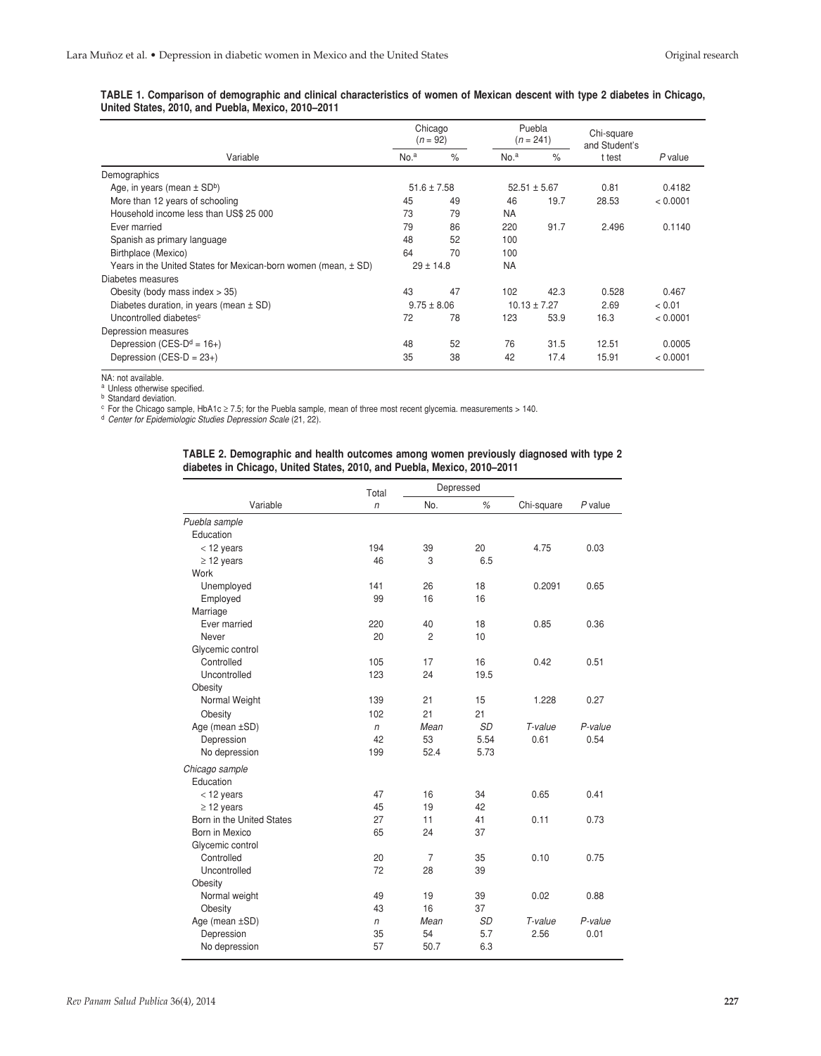| TABLE 1. Comparison of demographic and clinical characteristics of women of Mexican descent with type 2 diabetes in Chicago, |  |  |
|------------------------------------------------------------------------------------------------------------------------------|--|--|
| United States, 2010, and Puebla, Mexico, 2010–2011                                                                           |  |  |

| Chicago<br>$(n = 92)$                                              |                  |                 | Puebla<br>$(n = 241)$ |                  | Chi-square<br>and Student's |           |  |
|--------------------------------------------------------------------|------------------|-----------------|-----------------------|------------------|-----------------------------|-----------|--|
| Variable                                                           | No. <sup>a</sup> | $\%$            | No. <sup>a</sup>      | $\%$             | t test                      | $P$ value |  |
| Demographics                                                       |                  |                 |                       |                  |                             |           |  |
| Age, in years (mean $\pm$ SD <sup>b</sup> )                        | $51.6 \pm 7.58$  |                 |                       | $52.51 \pm 5.67$ | 0.81                        | 0.4182    |  |
| More than 12 years of schooling                                    | 45               | 49              | 46                    | 19.7             | 28.53                       | < 0.0001  |  |
| Household income less than US\$ 25 000                             | 73               | 79              | <b>NA</b>             |                  |                             |           |  |
| Ever married                                                       | 79               | 86              | 220                   | 91.7             | 2.496                       | 0.1140    |  |
| Spanish as primary language                                        | 48               | 52              | 100                   |                  |                             |           |  |
| Birthplace (Mexico)                                                | 64               | 70              | 100                   |                  |                             |           |  |
| Years in the United States for Mexican-born women (mean, $\pm$ SD) |                  | $29 \pm 14.8$   | <b>NA</b>             |                  |                             |           |  |
| Diabetes measures                                                  |                  |                 |                       |                  |                             |           |  |
| Obesity (body mass index $>$ 35)                                   | 43               | 47              | 102                   | 42.3             | 0.528                       | 0.467     |  |
| Diabetes duration, in years (mean $\pm$ SD)                        |                  | $9.75 \pm 8.06$ |                       | $10.13 \pm 7.27$ | 2.69                        | < 0.01    |  |
| Uncontrolled diabetes <sup>c</sup>                                 | 72               | 78              | 123                   | 53.9             | 16.3                        | < 0.0001  |  |
| Depression measures                                                |                  |                 |                       |                  |                             |           |  |
| Depression (CES- $D^d = 16+$ )                                     | 48               | 52              | 76                    | 31.5             | 12.51                       | 0.0005    |  |
| Depression (CES-D = $23+$ )                                        | 35               | 38              | 42                    | 17.4             | 15.91                       | < 0.0001  |  |

NA: not available.<br><sup>a</sup> Unless otherwise specified.

**b** Standard deviation.

<sup>c</sup> For the Chicago sample, HbA1c ≥ 7.5; for the Puebla sample, mean of three most recent glycemia. measurements > 140.<br><sup>d</sup> *Center for Epidemiologic Studies Depression Scale* (21, 22).

| TABLE 2. Demographic and health outcomes among women previously diagnosed with type 2 |  |  |  |  |
|---------------------------------------------------------------------------------------|--|--|--|--|
| diabetes in Chicago, United States, 2010, and Puebla, Mexico, 2010–2011               |  |  |  |  |

|                           | Total        | Depressed      |           |            |           |
|---------------------------|--------------|----------------|-----------|------------|-----------|
| Variable                  | $\sqrt{n}$   | No.            | %         | Chi-square | $P$ value |
| Puebla sample             |              |                |           |            |           |
| Education                 |              |                |           |            |           |
| $<$ 12 years              | 194          | 39             | 20        | 4.75       | 0.03      |
| $\geq$ 12 years           | 46           | 3              | 6.5       |            |           |
| Work                      |              |                |           |            |           |
| Unemployed                | 141          | 26             | 18        | 0.2091     | 0.65      |
| Employed                  | 99           | 16             | 16        |            |           |
| Marriage                  |              |                |           |            |           |
| Ever married              | 220          | 40             | 18        | 0.85       | 0.36      |
| Never                     | 20           | $\overline{2}$ | 10        |            |           |
| Glycemic control          |              |                |           |            |           |
| Controlled                | 105          | 17             | 16        | 0.42       | 0.51      |
| Uncontrolled              | 123          | 24             | 19.5      |            |           |
| Obesity                   |              |                |           |            |           |
| Normal Weight             | 139          | 21             | 15        | 1.228      | 0.27      |
| Obesity                   | 102          | 21             | 21        |            |           |
| Age (mean ±SD)            | n            | Mean           | <b>SD</b> | T-value    | P-value   |
| Depression                | 42           | 53             | 5.54      | 0.61       | 0.54      |
| No depression             | 199          | 52.4           | 5.73      |            |           |
| Chicago sample            |              |                |           |            |           |
| Education                 |              |                |           |            |           |
| $<$ 12 years              | 47           | 16             | 34        | 0.65       | 0.41      |
| $\geq$ 12 years           | 45           | 19             | 42        |            |           |
| Born in the United States | 27           | 11             | 41        | 0.11       | 0.73      |
| Born in Mexico            | 65           | 24             | 37        |            |           |
| Glycemic control          |              |                |           |            |           |
| Controlled                | 20           | 7              | 35        | 0.10       | 0.75      |
| Uncontrolled              | 72           | 28             | 39        |            |           |
| Obesity                   |              |                |           |            |           |
| Normal weight             | 49           | 19             | 39        | 0.02       | 0.88      |
| Obesity                   | 43           | 16             | 37        |            |           |
| Age (mean ±SD)            | $\mathsf{n}$ | Mean           | <b>SD</b> | T-value    | P-value   |
| Depression                | 35           | 54             | 5.7       | 2.56       | 0.01      |
| No depression             | 57           | 50.7           | 6.3       |            |           |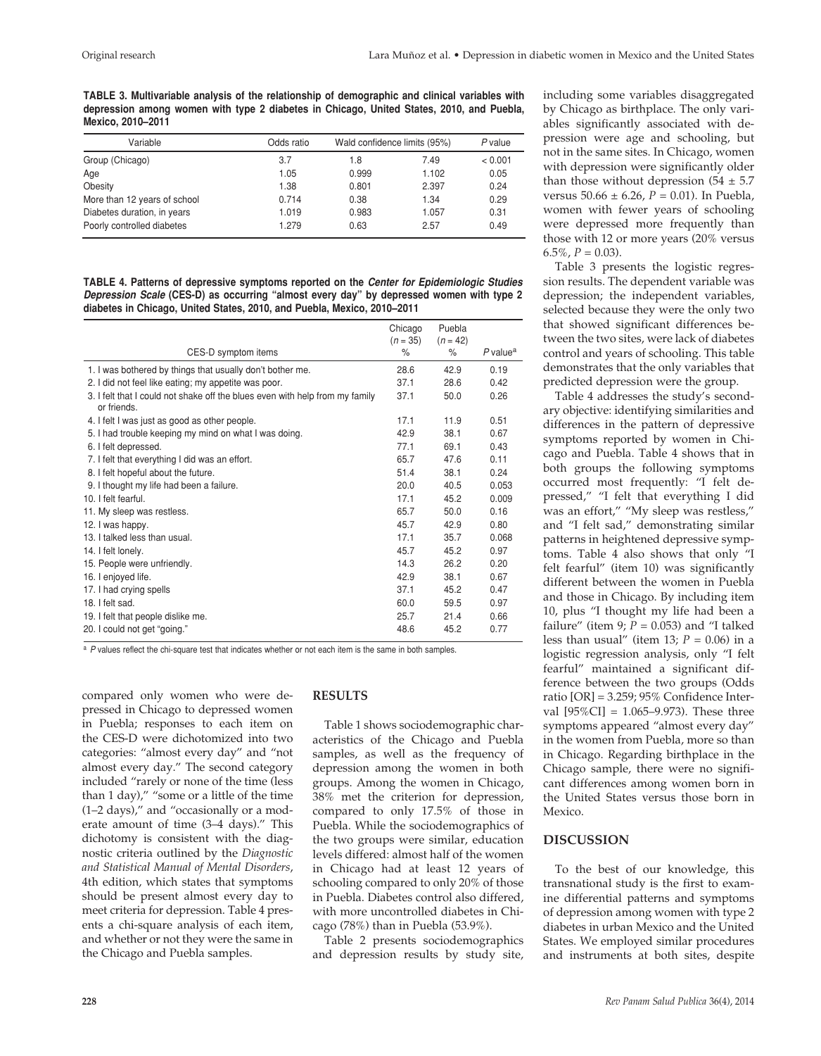**TABLE 3. Multivariable analysis of the relationship of demographic and clinical variables with depression among women with type 2 diabetes in Chicago, United States, 2010, and Puebla, Mexico, 2010–2011**

| Variable                     | Odds ratio | Wald confidence limits (95%) |       | $P$ value |
|------------------------------|------------|------------------------------|-------|-----------|
| Group (Chicago)              | 3.7        | 1.8                          | 7.49  | < 0.001   |
| Age                          | 1.05       | 0.999                        | 1.102 | 0.05      |
| Obesity                      | 1.38       | 0.801                        | 2.397 | 0.24      |
| More than 12 years of school | 0.714      | 0.38                         | 1.34  | 0.29      |
| Diabetes duration, in years  | 1.019      | 0.983                        | 1.057 | 0.31      |
| Poorly controlled diabetes   | 1.279      | 0.63                         | 2.57  | 0.49      |

**TABLE 4. Patterns of depressive symptoms reported on the** *Center for Epidemiologic Studies Depression Scale* **(CES-D) as occurring "almost every day" by depressed women with type 2 diabetes in Chicago, United States, 2010, and Puebla, Mexico, 2010–2011**

|                                                                                             | Chicago<br>$(n = 35)$ | Puebla<br>$(n = 42)$ |                      |
|---------------------------------------------------------------------------------------------|-----------------------|----------------------|----------------------|
| CES-D symptom items                                                                         | $\%$                  | ℅                    | P value <sup>a</sup> |
| 1. I was bothered by things that usually don't bother me.                                   | 28.6                  | 42.9                 | 0.19                 |
| 2. I did not feel like eating; my appetite was poor.                                        | 37.1                  | 28.6                 | 0.42                 |
| 3. I felt that I could not shake off the blues even with help from my family<br>or friends. | 37.1                  | 50.0                 | 0.26                 |
| 4. I felt I was just as good as other people.                                               | 17.1                  | 11.9                 | 0.51                 |
| 5. I had trouble keeping my mind on what I was doing.                                       | 42.9                  | 38.1                 | 0.67                 |
| 6. I felt depressed.                                                                        | 77.1                  | 69.1                 | 0.43                 |
| 7. I felt that everything I did was an effort.                                              | 65.7                  | 47.6                 | 0.11                 |
| 8. I felt hopeful about the future.                                                         | 51.4                  | 38.1                 | 0.24                 |
| 9. I thought my life had been a failure.                                                    | 20.0                  | 40.5                 | 0.053                |
| 10. I felt fearful.                                                                         | 17.1                  | 45.2                 | 0.009                |
| 11. My sleep was restless.                                                                  | 65.7                  | 50.0                 | 0.16                 |
| 12. I was happy.                                                                            | 45.7                  | 42.9                 | 0.80                 |
| 13. I talked less than usual.                                                               | 17.1                  | 35.7                 | 0.068                |
| 14. I felt lonely.                                                                          | 45.7                  | 45.2                 | 0.97                 |
| 15. People were unfriendly.                                                                 | 14.3                  | 26.2                 | 0.20                 |
| 16. I enjoyed life.                                                                         | 42.9                  | 38.1                 | 0.67                 |
| 17. I had crying spells                                                                     | 37.1                  | 45.2                 | 0.47                 |
| 18. I felt sad.                                                                             | 60.0                  | 59.5                 | 0.97                 |
| 19. I felt that people dislike me.                                                          | 25.7                  | 21.4                 | 0.66                 |
| 20. I could not get "going."                                                                | 48.6                  | 45.2                 | 0.77                 |

a P values reflect the chi-square test that indicates whether or not each item is the same in both samples.

compared only women who were depressed in Chicago to depressed women in Puebla; responses to each item on the CES-D were dichotomized into two categories: "almost every day" and "not almost every day." The second category included "rarely or none of the time (less than 1 day)," "some or a little of the time (1–2 days)," and "occasionally or a moderate amount of time (3–4 days)." This dichotomy is consistent with the diagnostic criteria outlined by the *Diagnostic and Statistical Manual of Mental Disorders*, 4th edition, which states that symptoms should be present almost every day to meet criteria for depression. Table 4 presents a chi-square analysis of each item, and whether or not they were the same in the Chicago and Puebla samples.

### **RESULTS**

Table 1 shows sociodemographic characteristics of the Chicago and Puebla samples, as well as the frequency of depression among the women in both groups. Among the women in Chicago, 38% met the criterion for depression, compared to only 17.5% of those in Puebla. While the sociodemographics of the two groups were similar, education levels differed: almost half of the women in Chicago had at least 12 years of schooling compared to only 20% of those in Puebla. Diabetes control also differed, with more uncontrolled diabetes in Chicago (78%) than in Puebla (53.9%).

Table 2 presents sociodemographics and depression results by study site,

including some variables disaggregated by Chicago as birthplace. The only variables significantly associated with depression were age and schooling, but not in the same sites. In Chicago, women with depression were significantly older than those without depression  $(54 \pm 5.7)$ versus 50.66 ± 6.26, *P* = 0.01). In Puebla, women with fewer years of schooling were depressed more frequently than those with 12 or more years (20% versus  $6.5\%$ ,  $P = 0.03$ ).

Table 3 presents the logistic regression results. The dependent variable was depression; the independent variables, selected because they were the only two that showed significant differences between the two sites, were lack of diabetes control and years of schooling. This table demonstrates that the only variables that predicted depression were the group.

Table 4 addresses the study's secondary objective: identifying similarities and differences in the pattern of depressive symptoms reported by women in Chicago and Puebla. Table 4 shows that in both groups the following symptoms occurred most frequently: "I felt depressed," "I felt that everything I did was an effort," "My sleep was restless," and "I felt sad," demonstrating similar patterns in heightened depressive symptoms. Table 4 also shows that only "I felt fearful" (item 10) was significantly different between the women in Puebla and those in Chicago. By including item 10, plus "I thought my life had been a failure" (item 9;  $P = 0.053$ ) and "I talked less than usual" (item 13;  $P = 0.06$ ) in a logistic regression analysis, only "I felt fearful" maintained a significant difference between the two groups (Odds ratio [OR] = 3.259; 95% Confidence Interval  $[95\%CI] = 1.065-9.973$ . These three symptoms appeared "almost every day" in the women from Puebla, more so than in Chicago. Regarding birthplace in the Chicago sample, there were no significant differences among women born in the United States versus those born in Mexico.

### **DISCUSSION**

To the best of our knowledge, this transnational study is the first to examine differential patterns and symptoms of depression among women with type 2 diabetes in urban Mexico and the United States. We employed similar procedures and instruments at both sites, despite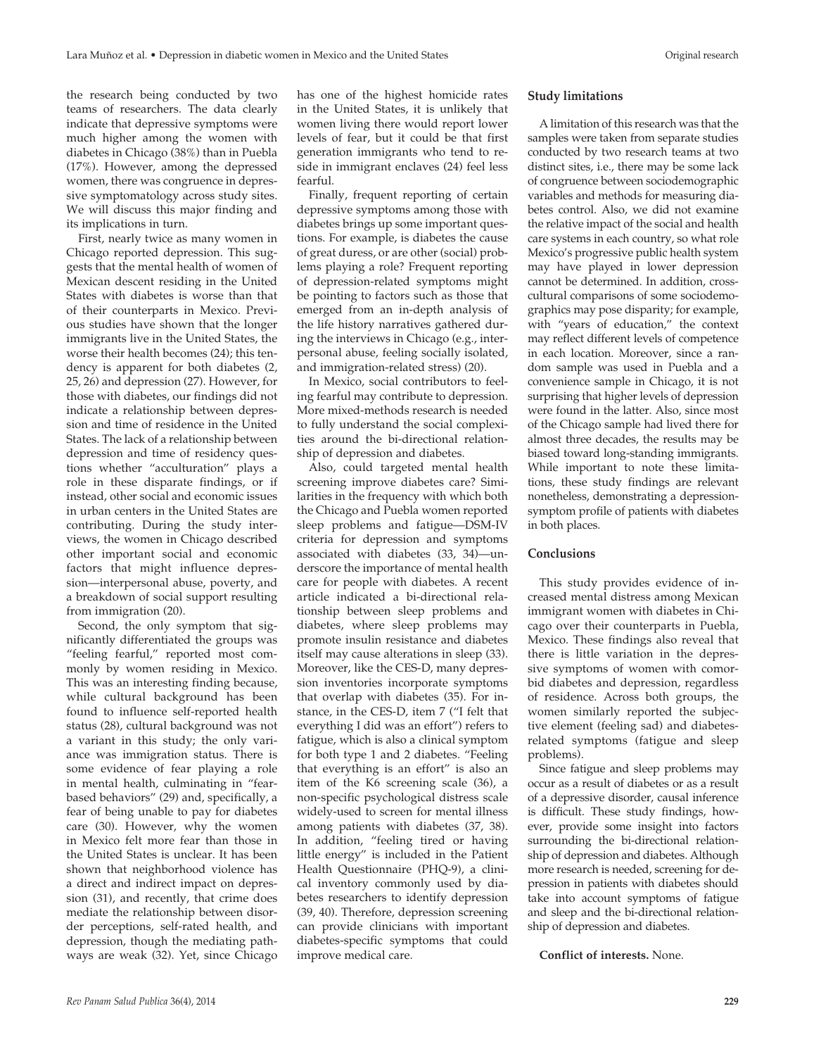the research being conducted by two teams of researchers. The data clearly indicate that depressive symptoms were much higher among the women with diabetes in Chicago (38%) than in Puebla (17%). However, among the depressed women, there was congruence in depressive symptomatology across study sites. We will discuss this major finding and its implications in turn.

First, nearly twice as many women in Chicago reported depression. This suggests that the mental health of women of Mexican descent residing in the United States with diabetes is worse than that of their counterparts in Mexico. Previous studies have shown that the longer immigrants live in the United States, the worse their health becomes (24); this tendency is apparent for both diabetes (2, 25, 26) and depression (27). However, for those with diabetes, our findings did not indicate a relationship between depression and time of residence in the United States. The lack of a relationship between depression and time of residency questions whether "acculturation" plays a role in these disparate findings, or if instead, other social and economic issues in urban centers in the United States are contributing. During the study interviews, the women in Chicago described other important social and economic factors that might influence depression—interpersonal abuse, poverty, and a breakdown of social support resulting from immigration (20).

Second, the only symptom that significantly differentiated the groups was "feeling fearful," reported most commonly by women residing in Mexico. This was an interesting finding because, while cultural background has been found to influence self-reported health status (28), cultural background was not a variant in this study; the only variance was immigration status. There is some evidence of fear playing a role in mental health, culminating in "fearbased behaviors" (29) and, specifically, a fear of being unable to pay for diabetes care (30). However, why the women in Mexico felt more fear than those in the United States is unclear. It has been shown that neighborhood violence has a direct and indirect impact on depression (31), and recently, that crime does mediate the relationship between disorder perceptions, self-rated health, and depression, though the mediating pathways are weak (32). Yet, since Chicago has one of the highest homicide rates in the United States, it is unlikely that women living there would report lower levels of fear, but it could be that first generation immigrants who tend to reside in immigrant enclaves (24) feel less fearful.

Finally, frequent reporting of certain depressive symptoms among those with diabetes brings up some important questions. For example, is diabetes the cause of great duress, or are other (social) problems playing a role? Frequent reporting of depression-related symptoms might be pointing to factors such as those that emerged from an in-depth analysis of the life history narratives gathered during the interviews in Chicago (e.g., interpersonal abuse, feeling socially isolated, and immigration-related stress) (20).

In Mexico, social contributors to feeling fearful may contribute to depression. More mixed-methods research is needed to fully understand the social complexities around the bi-directional relationship of depression and diabetes.

Also, could targeted mental health screening improve diabetes care? Similarities in the frequency with which both the Chicago and Puebla women reported sleep problems and fatigue—DSM-IV criteria for depression and symptoms associated with diabetes (33, 34)—underscore the importance of mental health care for people with diabetes. A recent article indicated a bi-directional relationship between sleep problems and diabetes, where sleep problems may promote insulin resistance and diabetes itself may cause alterations in sleep (33). Moreover, like the CES-D, many depression inventories incorporate symptoms that overlap with diabetes (35). For instance, in the CES-D, item 7 ("I felt that everything I did was an effort") refers to fatigue, which is also a clinical symptom for both type 1 and 2 diabetes. "Feeling that everything is an effort" is also an item of the K6 screening scale (36), a non-specific psychological distress scale widely-used to screen for mental illness among patients with diabetes (37, 38). In addition, "feeling tired or having little energy" is included in the Patient Health Questionnaire (PHQ-9), a clinical inventory commonly used by diabetes researchers to identify depression (39, 40). Therefore, depression screening can provide clinicians with important diabetes-specific symptoms that could improve medical care.

#### **Study limitations**

A limitation of this research was that the samples were taken from separate studies conducted by two research teams at two distinct sites, i.e., there may be some lack of congruence between sociodemographic variables and methods for measuring diabetes control. Also, we did not examine the relative impact of the social and health care systems in each country, so what role Mexico's progressive public health system may have played in lower depression cannot be determined. In addition, crosscultural comparisons of some sociodemographics may pose disparity; for example, with "years of education," the context may reflect different levels of competence in each location. Moreover, since a random sample was used in Puebla and a convenience sample in Chicago, it is not surprising that higher levels of depression were found in the latter. Also, since most of the Chicago sample had lived there for almost three decades, the results may be biased toward long-standing immigrants. While important to note these limitations, these study findings are relevant nonetheless, demonstrating a depressionsymptom profile of patients with diabetes in both places.

#### **Conclusions**

This study provides evidence of increased mental distress among Mexican immigrant women with diabetes in Chicago over their counterparts in Puebla, Mexico. These findings also reveal that there is little variation in the depressive symptoms of women with comorbid diabetes and depression, regardless of residence. Across both groups, the women similarly reported the subjective element (feeling sad) and diabetesrelated symptoms (fatigue and sleep problems).

Since fatigue and sleep problems may occur as a result of diabetes or as a result of a depressive disorder, causal inference is difficult. These study findings, however, provide some insight into factors surrounding the bi-directional relationship of depression and diabetes. Although more research is needed, screening for depression in patients with diabetes should take into account symptoms of fatigue and sleep and the bi-directional relationship of depression and diabetes.

**Conflict of interests.** None.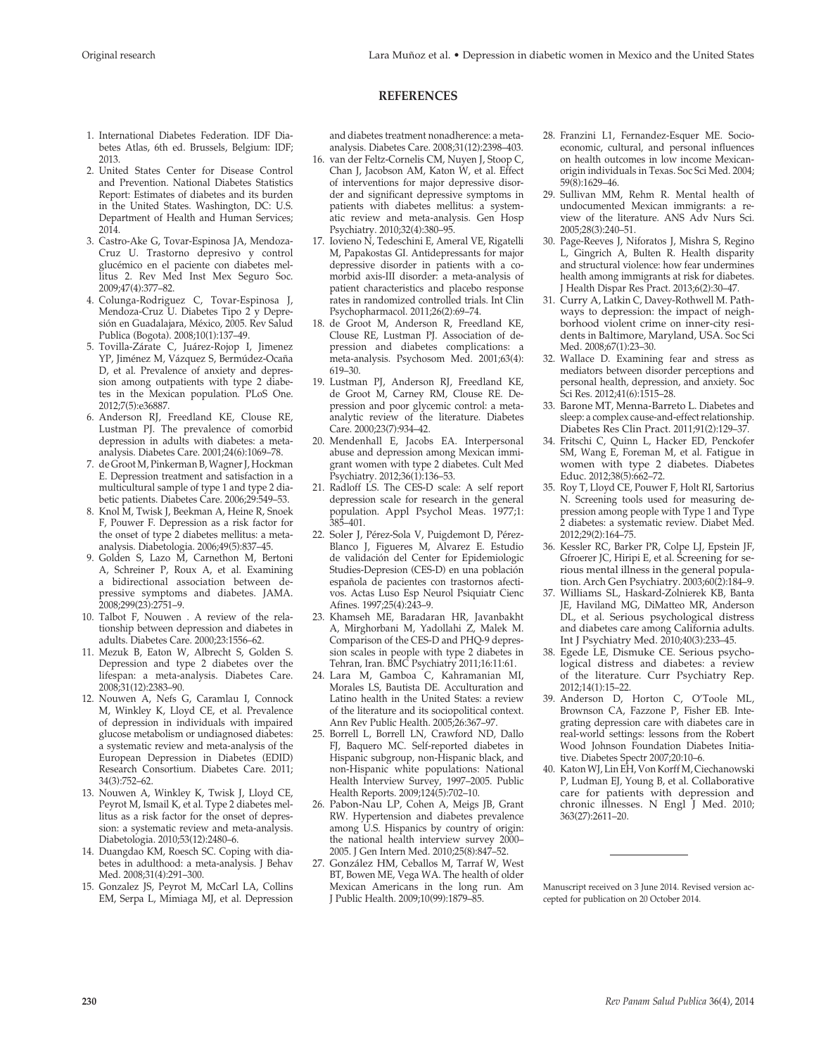### **REFERENCES**

- 1. International Diabetes Federation. IDF Diabetes Atlas, 6th ed. Brussels, Belgium: IDF; 2013.
- 2. United States Center for Disease Control and Prevention. National Diabetes Statistics Report: Estimates of diabetes and its burden in the United States. Washington, DC: U.S. Department of Health and Human Services; 2014.
- 3. Castro-Ake G, Tovar-Espinosa JA, Mendoza-Cruz U. Trastorno depresivo y control glucémico en el paciente con diabetes mellitus 2. Rev Med Inst Mex Seguro Soc. 2009;47(4):377–82.
- 4. Colunga-Rodriguez C, Tovar-Espinosa J, Mendoza-Cruz U. Diabetes Tipo 2 y Depresión en Guadalajara, México, 2005. Rev Salud Publica (Bogota). 2008;10(1):137–49.
- 5. Tovilla-Zárate C, Juárez-Rojop I, Jimenez YP, Jiménez M, Vázquez S, Bermúdez-Ocaña D, et al. Prevalence of anxiety and depression among outpatients with type 2 diabetes in the Mexican population. PLoS One. 2012;7(5):e36887.
- 6. Anderson RJ, Freedland KE, Clouse RE, Lustman PJ. The prevalence of comorbid depression in adults with diabetes: a metaanalysis. Diabetes Care. 2001;24(6):1069–78.
- 7. de Groot M, Pinkerman B, Wagner J, Hockman E. Depression treatment and satisfaction in a multicultural sample of type 1 and type 2 diabetic patients. Diabetes Care. 2006;29:549–53.
- 8. Knol M, Twisk J, Beekman A, Heine R, Snoek F, Pouwer F. Depression as a risk factor for the onset of type 2 diabetes mellitus: a metaanalysis. Diabetologia. 2006;49(5):837–45.
- 9. Golden S, Lazo M, Carnethon M, Bertoni A, Schreiner P, Roux A, et al. Examining a bidirectional association between depressive symptoms and diabetes. JAMA. 2008;299(23):2751–9.
- 10. Talbot F, Nouwen . A review of the relationship between depression and diabetes in adults. Diabetes Care. 2000;23:1556–62.
- 11. Mezuk B, Eaton W, Albrecht S, Golden S. Depression and type 2 diabetes over the lifespan: a meta-analysis. Diabetes Care. 2008;31(12):2383–90.
- 12. Nouwen A, Nefs G, Caramlau I, Connock M, Winkley K, Lloyd CE, et al. Prevalence of depression in individuals with impaired glucose metabolism or undiagnosed diabetes: a systematic review and meta-analysis of the European Depression in Diabetes (EDID) Research Consortium. Diabetes Care. 2011; 34(3):752–62.
- 13. Nouwen A, Winkley K, Twisk J, Lloyd CE, Peyrot M, Ismail K, et al. Type 2 diabetes mellitus as a risk factor for the onset of depression: a systematic review and meta-analysis. Diabetologia. 2010;53(12):2480–6.
- 14. Duangdao KM, Roesch SC. Coping with diabetes in adulthood: a meta-analysis. J Behav Med. 2008;31(4):291–300.
- 15. Gonzalez JS, Peyrot M, McCarl LA, Collins EM, Serpa L, Mimiaga MJ, et al. Depression

and diabetes treatment nonadherence: a metaanalysis. Diabetes Care. 2008;31(12):2398–403.

- 16. van der Feltz-Cornelis CM, Nuyen J, Stoop C, Chan J, Jacobson AM, Katon W, et al. Effect of interventions for major depressive disorder and significant depressive symptoms in patients with diabetes mellitus: a systematic review and meta-analysis. Gen Hosp Psychiatry. 2010;32(4):380–95.
- 17. Iovieno N, Tedeschini E, Ameral VE, Rigatelli M, Papakostas GI. Antidepressants for major depressive disorder in patients with a comorbid axis-III disorder: a meta-analysis of patient characteristics and placebo response rates in randomized controlled trials. Int Clin Psychopharmacol. 2011;26(2):69–74.
- 18. de Groot M, Anderson R, Freedland KE, Clouse RE, Lustman PJ. Association of depression and diabetes complications: a meta-analysis. Psychosom Med. 2001;63(4): 619–30.
- 19. Lustman PJ, Anderson RJ, Freedland KE, de Groot M, Carney RM, Clouse RE. Depression and poor glycemic control: a metaanalytic review of the literature. Diabetes Care. 2000;23(7):934–42.
- 20. Mendenhall E, Jacobs EA. Interpersonal abuse and depression among Mexican immigrant women with type 2 diabetes. Cult Med Psychiatry. 2012;36(1):136–53.
- 21. Radloff LS. The CES-D scale: A self report depression scale for research in the general population. Appl Psychol Meas. 1977;1: 385–401.
- 22. [Soler J,](http://www.ncbi.nlm.nih.gov/pubmed?term=Soler J%5BAuthor%5D&cauthor=true&cauthor_uid=9412163) Pérez-Sola V, Puigdemont D, Pérez-Blanco J, Figueres M, Alvarez E. Estudio de validación del Center for Epidemiologic Studies-Depresion (CES-D) en una población española de pacientes con trastornos afectivos. Actas Luso Esp Neurol Psiquiatr Cienc Afines. 1997;25(4):243–9.
- 23. Khamseh ME, Baradaran HR, Javanbakht A, Mirghorbani M, Yadollahi Z, Malek M. Comparison of the CES-D and PHQ-9 depression scales in people with type 2 diabetes in Tehran, Iran. BMC Psychiatry 2011;16:11:61.
- 24. [Lara M,](http://www.ncbi.nlm.nih.gov/pubmed?term=Lara M%5BAuthor%5D&cauthor=true&cauthor_uid=15760294) Gamboa C, Kahramanian MI, Morales LS, Bautista DE. Acculturation and Latino health in the United States: a review of the literature and its sociopolitical context. Ann Rev Public Health. 2005;26:367–97.
- 25. Borrell L, Borrell LN, Crawford ND, Dallo FJ, Baquero MC. Self-reported diabetes in Hispanic subgroup, non-Hispanic black, and non-Hispanic white populations: National Health Interview Survey, 1997–2005. Public Health Reports. 2009;124(5):702–10.
- 26. [Pabon-Nau LP,](http://www.ncbi.nlm.nih.gov/pubmed?term=Pabon-Nau LP%5BAuthor%5D&cauthor=true&cauthor_uid=20490949) Cohen A, Meigs JB, Grant RW. Hypertension and diabetes prevalence among U.S. Hispanics by country of origin: the national health interview survey 2000– 2005. J Gen Intern Med. 2010;25(8):847–52.
- 27. [González HM,](http://www.ncbi.nlm.nih.gov/pubmed?term=Gonz%C3%A1lez HM%5BAuthor%5D&cauthor=true&cauthor_uid=19696396) Ceballos M, Tarraf W, West BT, Bowen ME, Vega WA. The health of older Mexican Americans in the long run. Am J Public Health. 2009;10(99):1879–85.
- 28. Franzini L1, Fernandez-Esquer ME. Socioeconomic, cultural, and personal influences on health outcomes in low income Mexicanorigin individuals in Texas. Soc Sci Med. 2004; 59(8):1629–46.
- 29. Sullivan MM, Rehm R. Mental health of undocumented Mexican immigrants: a review of the literature. ANS Adv Nurs Sci. 2005;28(3):240–51.
- 30. Page-Reeves J, Niforatos J, Mishra S, Regino L, Gingrich A, Bulten R. Health disparity and structural violence: how fear undermines health among immigrants at risk for diabetes. J Health Dispar Res Pract. 2013;6(2):30–47.
- 31. [Curry A](http://www.ncbi.nlm.nih.gov/pubmed?term=Curry A%5BAuthor%5D&cauthor=true&cauthor_uid=18396366), Latkin C, Davey-Rothwell M. Pathways to depression: the impact of neighborhood violent crime on inner-city residents in Baltimore, Maryland, USA. Soc Sci Med. 2008;67(1):23–30.
- 32. [Wallace D.](http://www.ncbi.nlm.nih.gov/pubmed?term=Wallace D%5BAuthor%5D&cauthor=true&cauthor_uid=23017971) Examining fear and stress as mediators between disorder perceptions and personal health, depression, and anxiety. [Soc](http://www.ncbi.nlm.nih.gov/pubmed/?term=crime+depression+walllace+2012)  [Sci Res.](http://www.ncbi.nlm.nih.gov/pubmed/?term=crime+depression+walllace+2012) 2012;41(6):1515–28.
- 33. [Barone MT](http://www.ncbi.nlm.nih.gov/pubmed?term=Barone MT%5BAuthor%5D&cauthor=true&cauthor_uid=20810183), [Menna-Barreto L](http://www.ncbi.nlm.nih.gov/pubmed?term=Menna-Barreto L%5BAuthor%5D&cauthor=true&cauthor_uid=20810183). Diabetes and sleep: a complex cause-and-effect relationship. [Diabetes Res Clin Pract.](http://www.ncbi.nlm.nih.gov/pubmed/?term=barone+menna+barreto) 2011;91(2):129–37.
- 34. Fritschi C, Quinn L, Hacker ED, Penckofer SM, Wang E, Foreman M, et al. [Fatigue](http://www.ncbi.nlm.nih.gov/pubmed/22713262) in women with [type 2 diabetes.](http://www.ncbi.nlm.nih.gov/pubmed/22713262) Diabetes Educ. 2012;38(5):662–72.
- 35. [Roy T](http://www.ncbi.nlm.nih.gov/pubmed?term=Roy T%5BAuthor%5D&cauthor=true&cauthor_uid=21824180), Lloyd CE, Pouwer F, Holt RI, Sartorius N. Screening tools used for measuring depression among people with Type 1 and Type 2 diabetes: a systematic review. Diabet Med. 2012;29(2):164–75.
- 36. Kessler RC, Barker PR, Colpe LJ, Epstein JF, Gfroerer JC, Hiripi E, et al. [Screening](http://www.ncbi.nlm.nih.gov/pubmed/12578436) for serious mental illness [in the general popula](http://www.ncbi.nlm.nih.gov/pubmed/12578436)[tion.](http://www.ncbi.nlm.nih.gov/pubmed/12578436) Arch Gen Psychiatry. 2003;60(2):184–9.
- 37. [Williams SL](http://www.ncbi.nlm.nih.gov/pubmed?term=Williams SL%5BAuthor%5D&cauthor=true&cauthor_uid=21166335), Haskard-Zolnierek KB, Banta JE, Haviland MG, DiMatteo MR, Anderson DL, et al. Serious psychological distress and diabetes care among California adults. [Int J Psychiatry Med.](http://www.ncbi.nlm.nih.gov/pubmed/?term=SERIOUS+PSYCHOLOGICAL+DISTRESS+AND+DIABETES+CARE+AMONG+CALIFORNIA+ADULTS*) 2010;40(3):233–45.
- 38. [Egede LE](http://www.ncbi.nlm.nih.gov/pubmed?term=Egede LE%5BAuthor%5D&cauthor=true&cauthor_uid=22002804), [Dismuke CE.](http://www.ncbi.nlm.nih.gov/pubmed?term=Dismuke CE%5BAuthor%5D&cauthor=true&cauthor_uid=22002804) Serious psychological distress and diabetes: a review of the literature. [Curr Psychiatry Rep.](http://www.ncbi.nlm.nih.gov/pubmed/?term=Serious+Psychological+Distress+and+Diabetes%3A+A+Review+of+the+Literature) 2012;14(1):15–22.
- 39. Anderson D, Horton C, O'Toole ML, Brownson CA, Fazzone P, Fisher EB. Integrating depression care with diabetes care in real-world settings: lessons from the Robert Wood Johnson Foundation Diabetes Initiative. Diabetes Spectr 2007;20:10–6.
- 40. Katon WJ, Lin EH, Von Korff M, Ciechanowski P, Ludman EJ, Young B, et al. [Collaborative](http://www.ncbi.nlm.nih.gov/pubmed/21190455) care for patients with [depression](http://www.ncbi.nlm.nih.gov/pubmed/21190455) and [chronic illnesses.](http://www.ncbi.nlm.nih.gov/pubmed/21190455) N Engl J Med. 2010; 363(27):2611–20.

Manuscript received on 3 June 2014. Revised version accepted for publication on 20 October 2014.